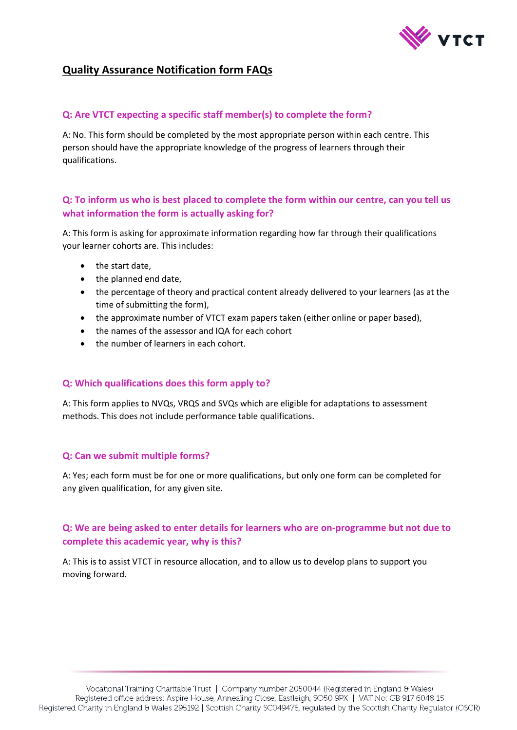

# **Quality Assurance Notification form FAQs**

### **Q: Are VTCT expecting a specific staff member(s) to complete the form?**

A: No. This form should be completed by the most appropriate person within each centre. This person should have the appropriate knowledge of the progress of learners through their qualifications.

## **Q: To inform us who is best placed to complete the form within our centre, can you tell us what information the form is actually asking for?**

A: This form is asking for approximate information regarding how far through their qualifications your learner cohorts are. This includes:

- the start date.
- the planned end date,
- the percentage of theory and practical content already delivered to your learners (as at the time of submitting the form),
- the approximate number of VTCT exam papers taken (either online or paper based),
- the names of the assessor and IQA for each cohort
- the number of learners in each cohort.

### **Q: Which qualifications does this form apply to?**

A: This form applies to NVQs, VRQS and SVQs which are eligible for adaptations to assessment methods. This does not include performance table qualifications.

### **Q: Can we submit multiple forms?**

A: Yes; each form must be for one or more qualifications, but only one form can be completed for any given qualification, for any given site.

## **Q: We are being asked to enter details for learners who are on-programme but not due to complete this academic year, why is this?**

A: This is to assist VTCT in resource allocation, and to allow us to develop plans to support you moving forward.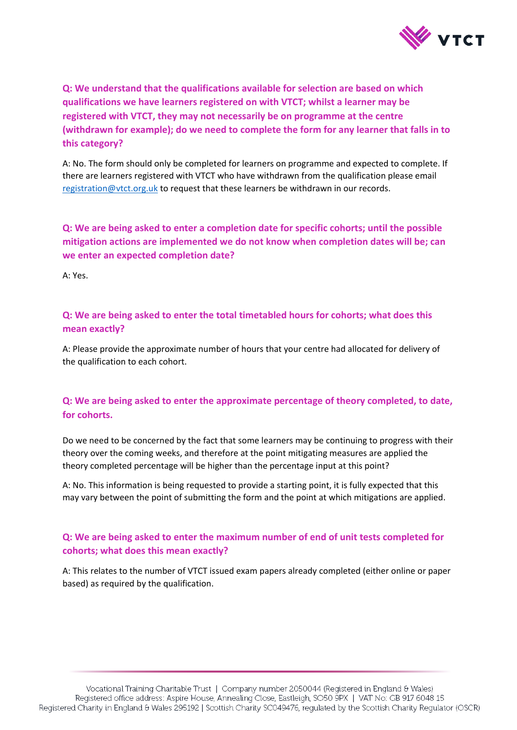

**Q: We understand that the qualifications available for selection are based on which qualifications we have learners registered on with VTCT; whilst a learner may be registered with VTCT, they may not necessarily be on programme at the centre (withdrawn for example); do we need to complete the form for any learner that falls in to this category?** 

A: No. The form should only be completed for learners on programme and expected to complete. If there are learners registered with VTCT who have withdrawn from the qualification please email [registration@vtct.org.uk](mailto:registration@vtct.org.uk) to request that these learners be withdrawn in our records.

**Q: We are being asked to enter a completion date for specific cohorts; until the possible mitigation actions are implemented we do not know when completion dates will be; can we enter an expected completion date?**

A: Yes.

**Q: We are being asked to enter the total timetabled hours for cohorts; what does this mean exactly?**

A: Please provide the approximate number of hours that your centre had allocated for delivery of the qualification to each cohort.

## **Q: We are being asked to enter the approximate percentage of theory completed, to date, for cohorts.**

Do we need to be concerned by the fact that some learners may be continuing to progress with their theory over the coming weeks, and therefore at the point mitigating measures are applied the theory completed percentage will be higher than the percentage input at this point?

A: No. This information is being requested to provide a starting point, it is fully expected that this may vary between the point of submitting the form and the point at which mitigations are applied.

## **Q: We are being asked to enter the maximum number of end of unit tests completed for cohorts; what does this mean exactly?**

A: This relates to the number of VTCT issued exam papers already completed (either online or paper based) as required by the qualification.